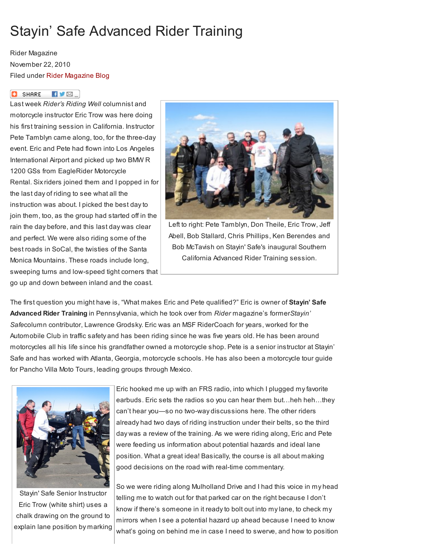## Stayin' Safe Advanced Rider Training

Rider Magazine November 22, 2010 Filed under Rider [Magazine](http://www.ridermagazine.com/category/rider-magazine-blog/) Blog

## **C** SHARE  $\blacksquare$

Last week Rider's Riding Well columnist and motorcycle instructor Eric Trow was here doing his first training session in California. Instructor Pete Tamblyn came along, too, for the three-day event. Eric and Pete had flown into Los Angeles International Airport and picked up two BMW R 1200 GSs from EagleRider Motorcycle Rental. Six riders joined them and I popped in for the last day of riding to see what all the instruction was about. I picked the best day to join them, too, as the group had started off in the rain the day before, and this last day was clear and perfect. We were also riding some of the best roads in SoCal, the twisties of the Santa Monica Mountains. These roads include long, sweeping turns and low-speed tight corners that





Left to right: Pete Tamblyn, Don Theile, Eric Trow, Jeff Abell, Bob Stallard, Chris Phillips, Ken Berendes and Bob McTavish on Stayin' Safe's inaugural Southern California Advanced Rider Training session.

The first question you might have is, "What makes Eric and Pete qualified?" Eric is owner of Stayin' Safe Advanced Rider Training in Pennsylvania, which he took over from Rider magazine's formerStayin' Safecolumn contributor, Lawrence Grodsky. Eric was an MSF RiderCoach for years, worked for the Automobile Club in traffic safety and has been riding since he was five years old. He has been around motorcycles all his life since his grandfather owned a motorcycle shop. Pete is a senior instructor at Stayin' Safe and has worked with Atlanta, Georgia, motorcycle schools. He has also been a motorcycle tour guide for Pancho Villa Moto Tours, leading groups through Mexico.



Stayin' Safe Senior Instructor Eric Trow (white shirt) uses a chalk drawing on the ground to explain lane position by marking

Eric hooked me up with an FRS radio, into which I plugged my favorite earbuds. Eric sets the radios so you can hear them but…heh heh…they can't hear you—so no two-way discussions here. The other riders already had two days of riding instruction under their belts, so the third day was a review of the training. As we were riding along, Eric and Pete were feeding us information about potential hazards and ideal lane position. What a great idea! Basically, the course is all about making good decisions on the road with real-time commentary.

So we were riding along Mulholland Drive and I had this voice in my head telling me to watch out for that parked car on the right because I don't know if there's someone in it ready to bolt out into my lane, to check my mirrors when I see a potential hazard up ahead because I need to know what's going on behind me in case I need to swerve, and how to position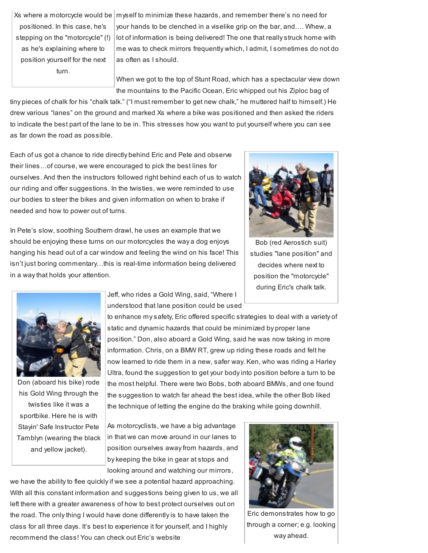positioned. In this case, he's stepping on the "motorcycle" (!) as he's explaining where to position yourself for the next turn.

Xs where a motorcycle would be  $|$  myself to minimize these hazards, and remember there's no need for your hands to be clenched in a viselike grip on the bar, and…. Whew, a lot of information is being delivered! The one that really struck home with me was to check mirrors frequently which, I admit, I sometimes do not do as often as I should.

> When we got to the top of Stunt Road, which has a spectacular view down the mountains to the Pacific Ocean, Eric whipped out his Ziploc bag of

tiny pieces of chalk for his "chalk talk." ("I must remember to get new chalk," he muttered half to himself.) He drew various "lanes" on the ground and marked Xs where a bike was positioned and then asked the riders to indicate the best part of the lane to be in. This stresses how you want to put yourself where you can see as far down the road as possible.

Each of us got a chance to ride directly behind Eric and Pete and observe their lines…of course, we were encouraged to pick the best lines for ourselves. And then the instructors followed right behind each of us to watch our riding and offer suggestions. In the twisties, we were reminded to use our bodies to steer the bikes and given information on when to brake if needed and how to power out of turns.

In Pete's slow, soothing Southern drawl, he uses an example that we should be enjoying these turns on our motorcycles the way a dog enjoys hanging his head out of a car window and feeling the wind on his face! This isn't just boring commentary…this is real-time information being delivered in a way that holds your attention.



Bob (red Aerostich suit) studies "lane position" and decides where next to position the "motorcycle" during Eric's chalk talk.



Don (aboard his bike) rode his Gold Wing through the twisties like it was a sportbike. Here he is with Stayin' Safe Instructor Pete Tamblyn (wearing the black and yellow jacket).

Jeff, who rides a Gold Wing, said, "Where I understood that lane position could be used

to enhance my safety, Eric offered specific strategies to deal with a variety of static and dynamic hazards that could be minimized by proper lane position." Don, also aboard a Gold Wing, said he was now taking in more information. Chris, on a BMW RT, grew up riding these roads and felt he now learned to ride them in a new, safer way. Ken, who was riding a Harley Ultra, found the suggestion to get your body into position before a turn to be the most helpful. There were two Bobs, both aboard BMWs, and one found the suggestion to watch far ahead the best idea, while the other Bob liked the technique of letting the engine do the braking while going downhill.

As motorcyclists, we have a big advantage in that we can move around in our lanes to position ourselves away from hazards, and by keeping the bike in gear at stops and looking around and watching our mirrors,

we have the ability to flee quickly if we see a potential hazard approaching. With all this constant information and suggestions being given to us, we all left there with a greater awareness of how to best protect ourselves out on the road. The only thing I would have done differently is to have taken the class for all three days. It's best to experience it for yourself, and I highly recommend the class! You can check out Eric's website



Eric demonstrates how to go through a corner; e.g. looking way ahead.